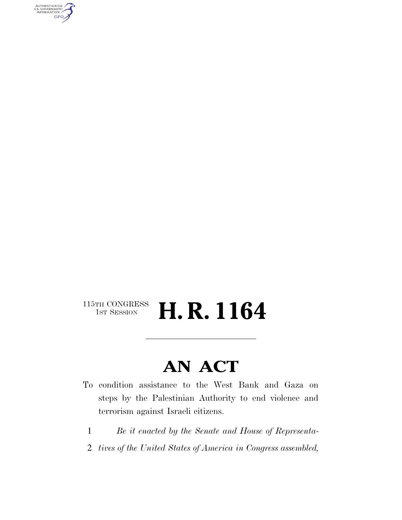AUTHENTICATED<br>U.S. GOVERNMENT<br>INFORMATION GPO

#### $\begin{array}{c} \textbf{115TH CONGRESS} \\ \textbf{1ST SESION} \end{array}$ H. R. 1164

### **AN ACT**

- To condition assistance to the West Bank and Gaza on steps by the Palestinian Authority to end violence and terrorism against Israeli citizens.
	- 1 *Be it enacted by the Senate and House of Representa-*
- 2 *tives of the United States of America in Congress assembled,*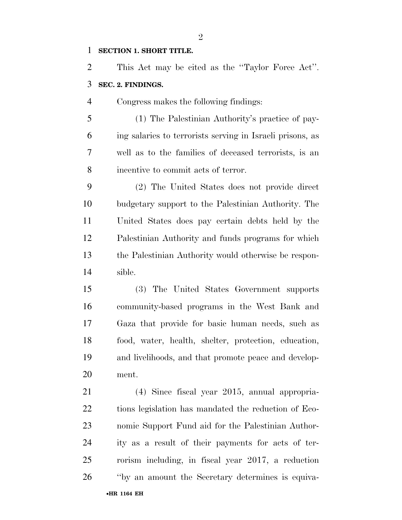#### **SECTION 1. SHORT TITLE.**

 This Act may be cited as the ''Taylor Force Act''. **SEC. 2. FINDINGS.** 

Congress makes the following findings:

 (1) The Palestinian Authority's practice of pay- ing salaries to terrorists serving in Israeli prisons, as well as to the families of deceased terrorists, is an incentive to commit acts of terror.

 (2) The United States does not provide direct budgetary support to the Palestinian Authority. The United States does pay certain debts held by the Palestinian Authority and funds programs for which the Palestinian Authority would otherwise be respon-sible.

 (3) The United States Government supports community-based programs in the West Bank and Gaza that provide for basic human needs, such as food, water, health, shelter, protection, education, and livelihoods, and that promote peace and develop-ment.

•**HR 1164 EH** (4) Since fiscal year 2015, annual appropria- tions legislation has mandated the reduction of Eco- nomic Support Fund aid for the Palestinian Author- ity as a result of their payments for acts of ter- rorism including, in fiscal year 2017, a reduction ''by an amount the Secretary determines is equiva-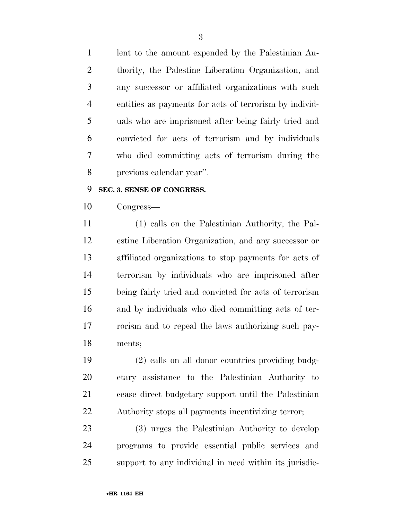lent to the amount expended by the Palestinian Au- thority, the Palestine Liberation Organization, and any successor or affiliated organizations with such entities as payments for acts of terrorism by individ- uals who are imprisoned after being fairly tried and convicted for acts of terrorism and by individuals who died committing acts of terrorism during the previous calendar year''.

#### **SEC. 3. SENSE OF CONGRESS.**

Congress—

 (1) calls on the Palestinian Authority, the Pal- estine Liberation Organization, and any successor or affiliated organizations to stop payments for acts of terrorism by individuals who are imprisoned after being fairly tried and convicted for acts of terrorism and by individuals who died committing acts of ter- rorism and to repeal the laws authorizing such pay-ments;

 (2) calls on all donor countries providing budg- etary assistance to the Palestinian Authority to cease direct budgetary support until the Palestinian Authority stops all payments incentivizing terror;

 (3) urges the Palestinian Authority to develop programs to provide essential public services and support to any individual in need within its jurisdic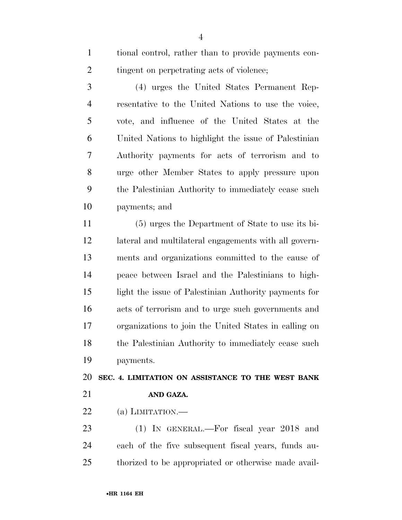tional control, rather than to provide payments con-2 tingent on perpetrating acts of violence;

 (4) urges the United States Permanent Rep- resentative to the United Nations to use the voice, vote, and influence of the United States at the United Nations to highlight the issue of Palestinian Authority payments for acts of terrorism and to urge other Member States to apply pressure upon the Palestinian Authority to immediately cease such payments; and

 (5) urges the Department of State to use its bi- lateral and multilateral engagements with all govern- ments and organizations committed to the cause of peace between Israel and the Palestinians to high- light the issue of Palestinian Authority payments for acts of terrorism and to urge such governments and organizations to join the United States in calling on the Palestinian Authority to immediately cease such payments.

 **SEC. 4. LIMITATION ON ASSISTANCE TO THE WEST BANK AND GAZA.** 

22 (a) LIMITATION.—

 (1) IN GENERAL.—For fiscal year 2018 and each of the five subsequent fiscal years, funds au-thorized to be appropriated or otherwise made avail-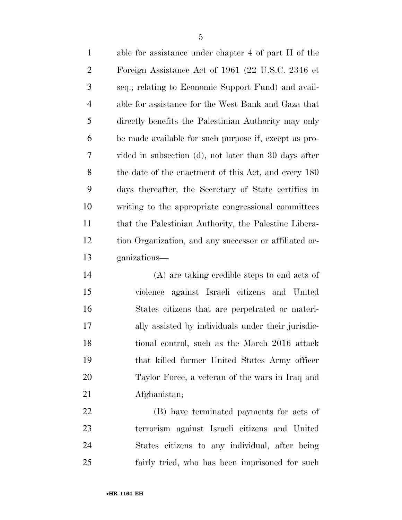able for assistance under chapter 4 of part II of the Foreign Assistance Act of 1961 (22 U.S.C. 2346 et seq.; relating to Economic Support Fund) and avail- able for assistance for the West Bank and Gaza that directly benefits the Palestinian Authority may only be made available for such purpose if, except as pro- vided in subsection (d), not later than 30 days after the date of the enactment of this Act, and every 180 days thereafter, the Secretary of State certifies in writing to the appropriate congressional committees that the Palestinian Authority, the Palestine Libera- tion Organization, and any successor or affiliated or-ganizations—

 (A) are taking credible steps to end acts of violence against Israeli citizens and United States citizens that are perpetrated or materi- ally assisted by individuals under their jurisdic- tional control, such as the March 2016 attack that killed former United States Army officer Taylor Force, a veteran of the wars in Iraq and Afghanistan;

 (B) have terminated payments for acts of terrorism against Israeli citizens and United States citizens to any individual, after being fairly tried, who has been imprisoned for such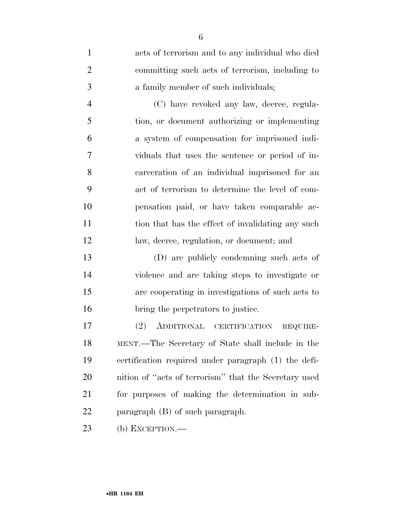| $\mathbf{1}$   | acts of terrorism and to any individual who died      |
|----------------|-------------------------------------------------------|
| $\overline{2}$ | committing such acts of terrorism, including to       |
| 3              | a family member of such individuals;                  |
| $\overline{4}$ | (C) have revoked any law, decree, regula-             |
| 5              | tion, or document authorizing or implementing         |
| 6              | a system of compensation for imprisoned indi-         |
| 7              | viduals that uses the sentence or period of in-       |
| 8              | carceration of an individual imprisoned for an        |
| 9              | act of terrorism to determine the level of com-       |
| 10             | pensation paid, or have taken comparable ac-          |
| 11             | tion that has the effect of invalidating any such     |
| 12             | law, decree, regulation, or document; and             |
| 13             | (D) are publicly condemning such acts of              |
| 14             | violence and are taking steps to investigate or       |
| 15             | are cooperating in investigations of such acts to     |
| 16             | bring the perpetrators to justice.                    |
| 17             | ADDITIONAL CERTIFICATION<br>(2)<br>REQUIRE-           |
| 18             | MENT.—The Secretary of State shall include in the     |
| 19             | certification required under paragraph (1) the defi-  |
| 20             | nition of "acts of terrorism" that the Secretary used |
| 21             | for purposes of making the determination in sub-      |
| <u>22</u>      | paragraph (B) of such paragraph.                      |
| 23             | (b) EXCEPTION.—                                       |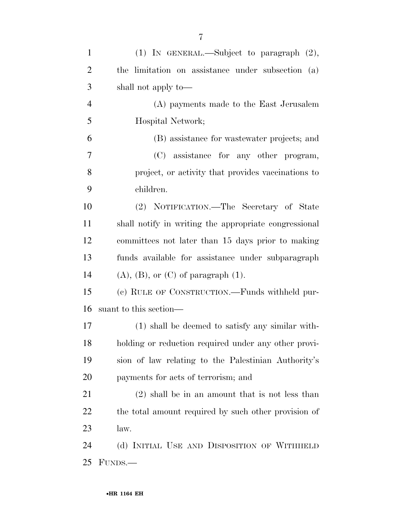| $\mathbf{1}$   | (1) IN GENERAL.—Subject to paragraph $(2)$ ,          |
|----------------|-------------------------------------------------------|
| $\overline{2}$ | the limitation on assistance under subsection (a)     |
| 3              | shall not apply to—                                   |
| $\overline{4}$ | (A) payments made to the East Jerusalem               |
| 5              | Hospital Network;                                     |
| 6              | (B) assistance for wastewater projects; and           |
| $\tau$         | (C) assistance for any other program,                 |
| 8              | project, or activity that provides vaccinations to    |
| 9              | children.                                             |
| 10             | (2) NOTIFICATION.—The Secretary of State              |
| 11             | shall notify in writing the appropriate congressional |
| 12             | committees not later than 15 days prior to making     |
| 13             | funds available for assistance under subparagraph     |
| 14             | $(A)$ , $(B)$ , or $(C)$ of paragraph $(1)$ .         |
| 15             | (c) RULE OF CONSTRUCTION.—Funds withheld pur-         |
| 16             | suant to this section—                                |
| 17             | (1) shall be deemed to satisfy any similar with-      |
| 18             | holding or reduction required under any other provi-  |
| 19             | sion of law relating to the Palestinian Authority's   |
| 20             | payments for acts of terrorism; and                   |
| 21             | $(2)$ shall be in an amount that is not less than     |
| 22             | the total amount required by such other provision of  |
| 23             | law.                                                  |
| 24             | (d) INITIAL USE AND DISPOSITION OF WITHHELD           |
| 25             | FUNDS.—                                               |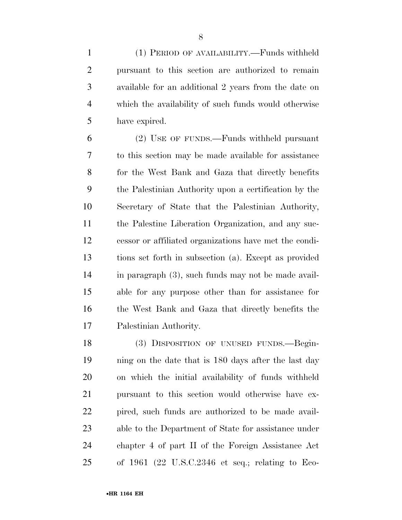(1) PERIOD OF AVAILABILITY.—Funds withheld pursuant to this section are authorized to remain available for an additional 2 years from the date on which the availability of such funds would otherwise have expired.

 (2) USE OF FUNDS.—Funds withheld pursuant to this section may be made available for assistance for the West Bank and Gaza that directly benefits the Palestinian Authority upon a certification by the Secretary of State that the Palestinian Authority, the Palestine Liberation Organization, and any suc- cessor or affiliated organizations have met the condi- tions set forth in subsection (a). Except as provided in paragraph (3), such funds may not be made avail- able for any purpose other than for assistance for the West Bank and Gaza that directly benefits the Palestinian Authority.

 (3) DISPOSITION OF UNUSED FUNDS.—Begin- ning on the date that is 180 days after the last day on which the initial availability of funds withheld pursuant to this section would otherwise have ex- pired, such funds are authorized to be made avail- able to the Department of State for assistance under chapter 4 of part II of the Foreign Assistance Act of 1961 (22 U.S.C.2346 et seq.; relating to Eco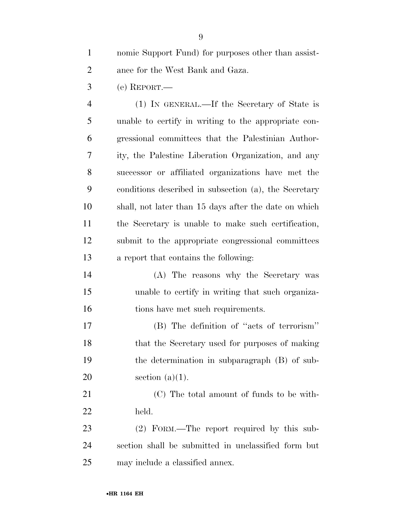nomic Support Fund) for purposes other than assist-ance for the West Bank and Gaza.

(e) REPORT.—

 (1) IN GENERAL.—If the Secretary of State is unable to certify in writing to the appropriate con- gressional committees that the Palestinian Author- ity, the Palestine Liberation Organization, and any successor or affiliated organizations have met the conditions described in subsection (a), the Secretary shall, not later than 15 days after the date on which the Secretary is unable to make such certification, submit to the appropriate congressional committees a report that contains the following:

 (A) The reasons why the Secretary was unable to certify in writing that such organiza-tions have met such requirements.

 (B) The definition of ''acts of terrorism'' that the Secretary used for purposes of making the determination in subparagraph (B) of sub-20 section  $(a)(1)$ .

 (C) The total amount of funds to be with-held.

 (2) FORM.—The report required by this sub- section shall be submitted in unclassified form but may include a classified annex.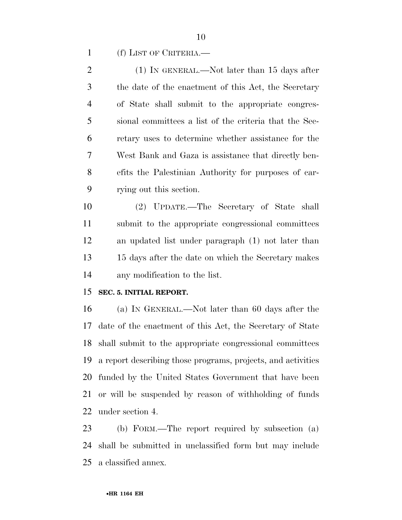(f) LIST OF CRITERIA.—

2 (1) IN GENERAL.—Not later than 15 days after the date of the enactment of this Act, the Secretary of State shall submit to the appropriate congres- sional committees a list of the criteria that the Sec- retary uses to determine whether assistance for the West Bank and Gaza is assistance that directly ben- efits the Palestinian Authority for purposes of car-rying out this section.

 (2) UPDATE.—The Secretary of State shall submit to the appropriate congressional committees an updated list under paragraph (1) not later than 15 days after the date on which the Secretary makes any modification to the list.

#### **SEC. 5. INITIAL REPORT.**

 (a) IN GENERAL.—Not later than 60 days after the date of the enactment of this Act, the Secretary of State shall submit to the appropriate congressional committees a report describing those programs, projects, and activities funded by the United States Government that have been or will be suspended by reason of withholding of funds under section 4.

 (b) FORM.—The report required by subsection (a) shall be submitted in unclassified form but may include a classified annex.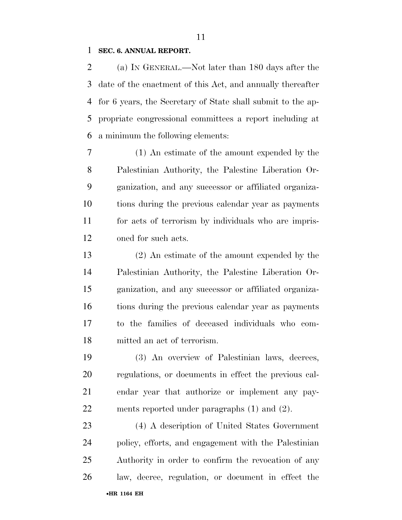#### **SEC. 6. ANNUAL REPORT.**

 (a) IN GENERAL.—Not later than 180 days after the date of the enactment of this Act, and annually thereafter for 6 years, the Secretary of State shall submit to the ap- propriate congressional committees a report including at a minimum the following elements:

 (1) An estimate of the amount expended by the Palestinian Authority, the Palestine Liberation Or- ganization, and any successor or affiliated organiza- tions during the previous calendar year as payments for acts of terrorism by individuals who are impris-oned for such acts.

 (2) An estimate of the amount expended by the Palestinian Authority, the Palestine Liberation Or- ganization, and any successor or affiliated organiza- tions during the previous calendar year as payments to the families of deceased individuals who com-mitted an act of terrorism.

 (3) An overview of Palestinian laws, decrees, regulations, or documents in effect the previous cal- endar year that authorize or implement any pay-ments reported under paragraphs (1) and (2).

•**HR 1164 EH** (4) A description of United States Government policy, efforts, and engagement with the Palestinian Authority in order to confirm the revocation of any law, decree, regulation, or document in effect the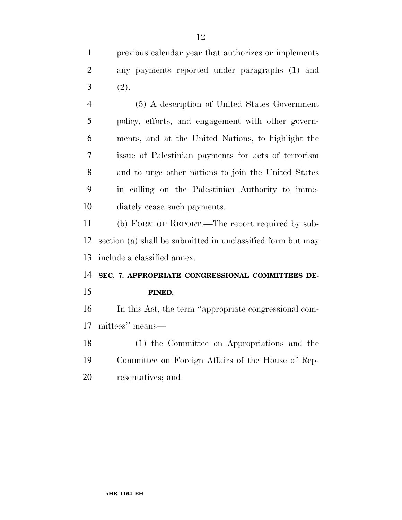previous calendar year that authorizes or implements any payments reported under paragraphs (1) and  $3 (2).$ 

 (5) A description of United States Government policy, efforts, and engagement with other govern- ments, and at the United Nations, to highlight the issue of Palestinian payments for acts of terrorism and to urge other nations to join the United States in calling on the Palestinian Authority to imme-diately cease such payments.

 (b) FORM OF REPORT.—The report required by sub- section (a) shall be submitted in unclassified form but may include a classified annex.

#### **SEC. 7. APPROPRIATE CONGRESSIONAL COMMITTEES DE-**

**FINED.** 

In this Act, the term ''appropriate congressional com-

- mittees'' means—
- (1) the Committee on Appropriations and the Committee on Foreign Affairs of the House of Rep-resentatives; and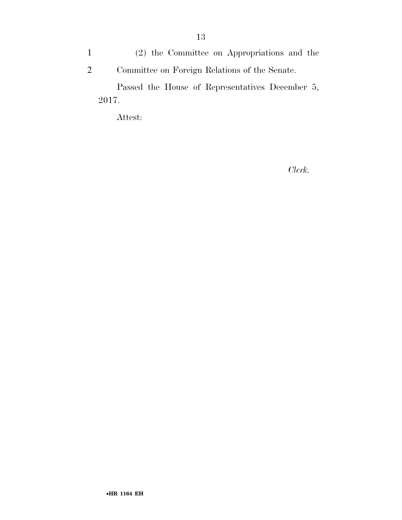1 (2) the Committee on Appropriations and the 2 Committee on Foreign Relations of the Senate.

Passed the House of Representatives December 5, 2017.

Attest:

*Clerk.*